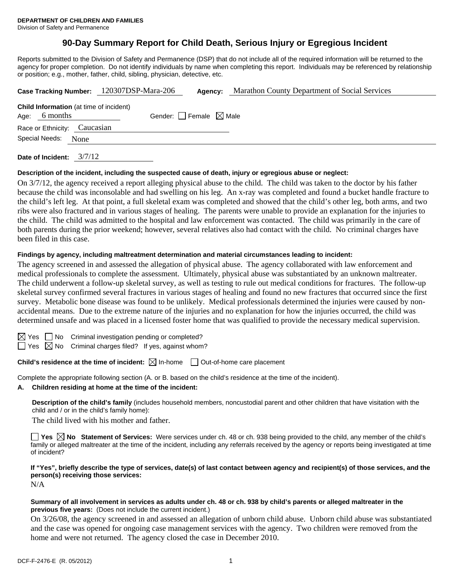# **90-Day Summary Report for Child Death, Serious Injury or Egregious Incident**

Reports submitted to the Division of Safety and Permanence (DSP) that do not include all of the required information will be returned to the agency for proper completion. Do not identify individuals by name when completing this report. Individuals may be referenced by relationship or position; e.g., mother, father, child, sibling, physician, detective, etc.

|                |                                                            | Case Tracking Number: 120307DSP-Mara-206 | Agency:                         | Marathon County Department of Social Services |
|----------------|------------------------------------------------------------|------------------------------------------|---------------------------------|-----------------------------------------------|
| Age:           | <b>Child Information</b> (at time of incident)<br>6 months |                                          | Gender: Female $\boxtimes$ Male |                                               |
|                | Race or Ethnicity: Caucasian                               |                                          |                                 |                                               |
| Special Needs: | None                                                       |                                          |                                 |                                               |
|                |                                                            |                                          |                                 |                                               |

**Date of Incident:** 3/7/12

#### **Description of the incident, including the suspected cause of death, injury or egregious abuse or neglect:**

On 3/7/12, the agency received a report alleging physical abuse to the child. The child was taken to the doctor by his father because the child was inconsolable and had swelling on his leg. An x-ray was completed and found a bucket handle fracture to the child's left leg. At that point, a full skeletal exam was completed and showed that the child's other leg, both arms, and two ribs were also fractured and in various stages of healing. The parents were unable to provide an explanation for the injuries to the child. The child was admitted to the hospital and law enforcement was contacted. The child was primarily in the care of both parents during the prior weekend; however, several relatives also had contact with the child. No criminal charges have been filed in this case.

#### **Findings by agency, including maltreatment determination and material circumstances leading to incident:**

The agency screened in and assessed the allegation of physical abuse. The agency collaborated with law enforcement and medical professionals to complete the assessment. Ultimately, physical abuse was substantiated by an unknown maltreater. The child underwent a follow-up skeletal survey, as well as testing to rule out medical conditions for fractures. The follow-up skeletal survey confirmed several fractures in various stages of healing and found no new fractures that occurred since the first survey. Metabolic bone disease was found to be unlikely. Medical professionals determined the injuries were caused by nonaccidental means. Due to the extreme nature of the injuries and no explanation for how the injuries occurred, the child was determined unsafe and was placed in a licensed foster home that was qualified to provide the necessary medical supervision.

 $S \cap M$ o Criminal investigation pending or completed?

 $\Box$  Yes  $\boxtimes$  No Criminal charges filed? If yes, against whom?

### **Child's residence at the time of incident:**  $\boxtimes$  In-home  $\Box$  Out-of-home care placement

Complete the appropriate following section (A. or B. based on the child's residence at the time of the incident).

**A. Children residing at home at the time of the incident:**

**Description of the child's family** (includes household members, noncustodial parent and other children that have visitation with the child and / or in the child's family home):

The child lived with his mother and father.

**Yes**  $\boxtimes$  **No** Statement of Services: Were services under ch. 48 or ch. 938 being provided to the child, any member of the child's family or alleged maltreater at the time of the incident, including any referrals received by the agency or reports being investigated at time of incident?

**If "Yes", briefly describe the type of services, date(s) of last contact between agency and recipient(s) of those services, and the person(s) receiving those services:** 

N/A

#### **Summary of all involvement in services as adults under ch. 48 or ch. 938 by child's parents or alleged maltreater in the previous five years:** (Does not include the current incident.)

On 3/26/08, the agency screened in and assessed an allegation of unborn child abuse. Unborn child abuse was substantiated and the case was opened for ongoing case management services with the agency. Two children were removed from the home and were not returned. The agency closed the case in December 2010.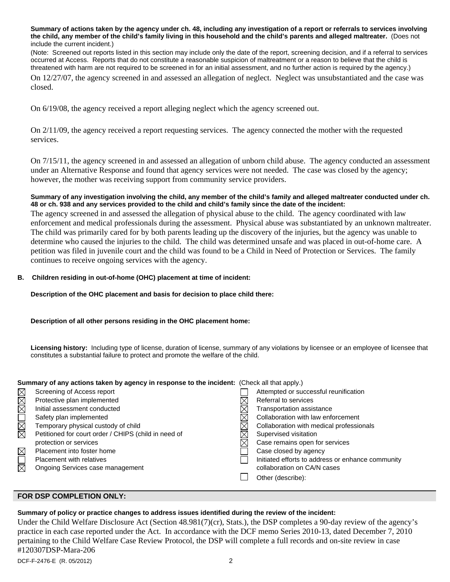**Summary of actions taken by the agency under ch. 48, including any investigation of a report or referrals to services involving the child, any member of the child's family living in this household and the child's parents and alleged maltreater.** (Does not include the current incident.)

(Note: Screened out reports listed in this section may include only the date of the report, screening decision, and if a referral to services occurred at Access. Reports that do not constitute a reasonable suspicion of maltreatment or a reason to believe that the child is threatened with harm are not required to be screened in for an initial assessment, and no further action is required by the agency.)

On 12/27/07, the agency screened in and assessed an allegation of neglect. Neglect was unsubstantiated and the case was closed.

On 6/19/08, the agency received a report alleging neglect which the agency screened out.

On 2/11/09, the agency received a report requesting services. The agency connected the mother with the requested services.

On 7/15/11, the agency screened in and assessed an allegation of unborn child abuse. The agency conducted an assessment under an Alternative Response and found that agency services were not needed. The case was closed by the agency; however, the mother was receiving support from community service providers.

#### **Summary of any investigation involving the child, any member of the child's family and alleged maltreater conducted under ch. 48 or ch. 938 and any services provided to the child and child's family since the date of the incident:**

The agency screened in and assessed the allegation of physical abuse to the child. The agency coordinated with law enforcement and medical professionals during the assessment. Physical abuse was substantiated by an unknown maltreater. The child was primarily cared for by both parents leading up the discovery of the injuries, but the agency was unable to determine who caused the injuries to the child. The child was determined unsafe and was placed in out-of-home care. A petition was filed in juvenile court and the child was found to be a Child in Need of Protection or Services. The family continues to receive ongoing services with the agency.

#### **B. Children residing in out-of-home (OHC) placement at time of incident:**

#### **Description of the OHC placement and basis for decision to place child there:**

#### **Description of all other persons residing in the OHC placement home:**

**Licensing history:** Including type of license, duration of license, summary of any violations by licensee or an employee of licensee that constitutes a substantial failure to protect and promote the welfare of the child.

#### **Summary of any actions taken by agency in response to the incident:** (Check all that apply.)

| $\times$               | Screening of Access report                           | Attempted or successful reunification             |
|------------------------|------------------------------------------------------|---------------------------------------------------|
| XI<br>XI               | Protective plan implemented                          | Referral to services                              |
|                        | Initial assessment conducted                         | Transportation assistance                         |
|                        | Safety plan implemented                              | Collaboration with law enforcement                |
| N<br>N                 | Temporary physical custody of child                  | Collaboration with medical professionals          |
|                        | Petitioned for court order / CHIPS (child in need of | Supervised visitation                             |
|                        | protection or services                               | Case remains open for services                    |
| $\boxtimes$            | Placement into foster home                           | Case closed by agency                             |
|                        | Placement with relatives                             | Initiated efforts to address or enhance community |
| $\overline{\boxtimes}$ | Ongoing Services case management                     | collaboration on CA/N cases                       |
|                        |                                                      | Other (describe):                                 |
|                        |                                                      |                                                   |

#### **FOR DSP COMPLETION ONLY:**

#### **Summary of policy or practice changes to address issues identified during the review of the incident:**

Under the Child Welfare Disclosure Act (Section 48.981(7)(cr), Stats.), the DSP completes a 90-day review of the agency's practice in each case reported under the Act. In accordance with the DCF memo Series 2010-13, dated December 7, 2010 pertaining to the Child Welfare Case Review Protocol, the DSP will complete a full records and on-site review in case #120307DSP-Mara-206